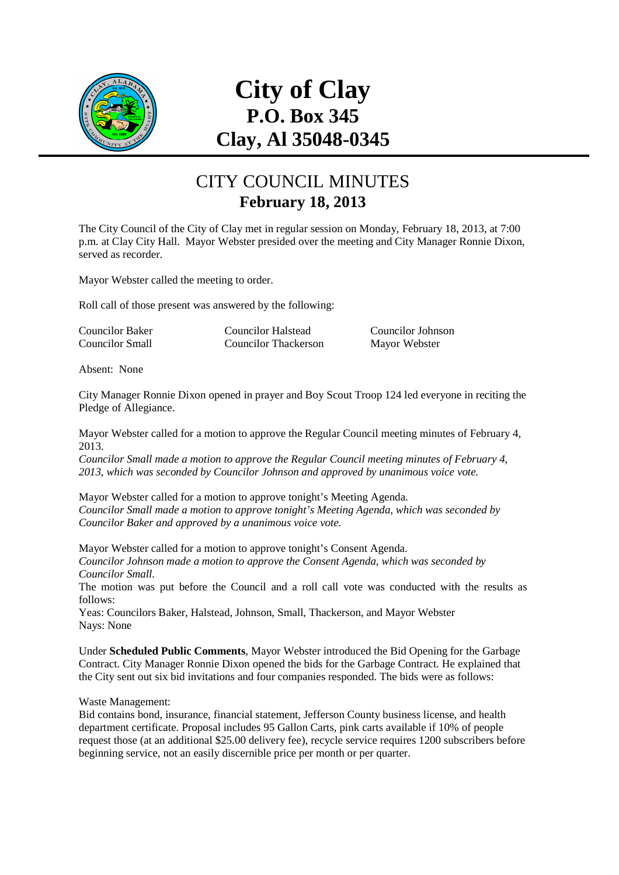

# **City of Clay P.O. Box 345 Clay, Al 35048-0345**

### CITY COUNCIL MINUTES **February 18, 2013**

The City Council of the City of Clay met in regular session on Monday, February 18, 2013, at 7:00 p.m. at Clay City Hall. Mayor Webster presided over the meeting and City Manager Ronnie Dixon, served as recorder.

Mayor Webster called the meeting to order.

Roll call of those present was answered by the following:

| Councilor Baker | <b>Councilor Halstead</b>   | Councilor Johnson |
|-----------------|-----------------------------|-------------------|
| Councilor Small | <b>Councilor Thackerson</b> | Mayor Webster     |

Absent: None

City Manager Ronnie Dixon opened in prayer and Boy Scout Troop 124 led everyone in reciting the Pledge of Allegiance.

Mayor Webster called for a motion to approve the Regular Council meeting minutes of February 4, 2013.

*Councilor Small made a motion to approve the Regular Council meeting minutes of February 4, 2013, which was seconded by Councilor Johnson and approved by unanimous voice vote.* 

Mayor Webster called for a motion to approve tonight's Meeting Agenda. *Councilor Small made a motion to approve tonight's Meeting Agenda, which was seconded by Councilor Baker and approved by a unanimous voice vote.* 

Mayor Webster called for a motion to approve tonight's Consent Agenda. *Councilor Johnson made a motion to approve the Consent Agenda, which was seconded by Councilor Small.* 

The motion was put before the Council and a roll call vote was conducted with the results as follows:

Yeas: Councilors Baker, Halstead, Johnson, Small, Thackerson, and Mayor Webster Nays: None

Under **Scheduled Public Comments**, Mayor Webster introduced the Bid Opening for the Garbage Contract. City Manager Ronnie Dixon opened the bids for the Garbage Contract. He explained that the City sent out six bid invitations and four companies responded. The bids were as follows:

Waste Management:

Bid contains bond, insurance, financial statement, Jefferson County business license, and health department certificate. Proposal includes 95 Gallon Carts, pink carts available if 10% of people request those (at an additional \$25.00 delivery fee), recycle service requires 1200 subscribers before beginning service, not an easily discernible price per month or per quarter.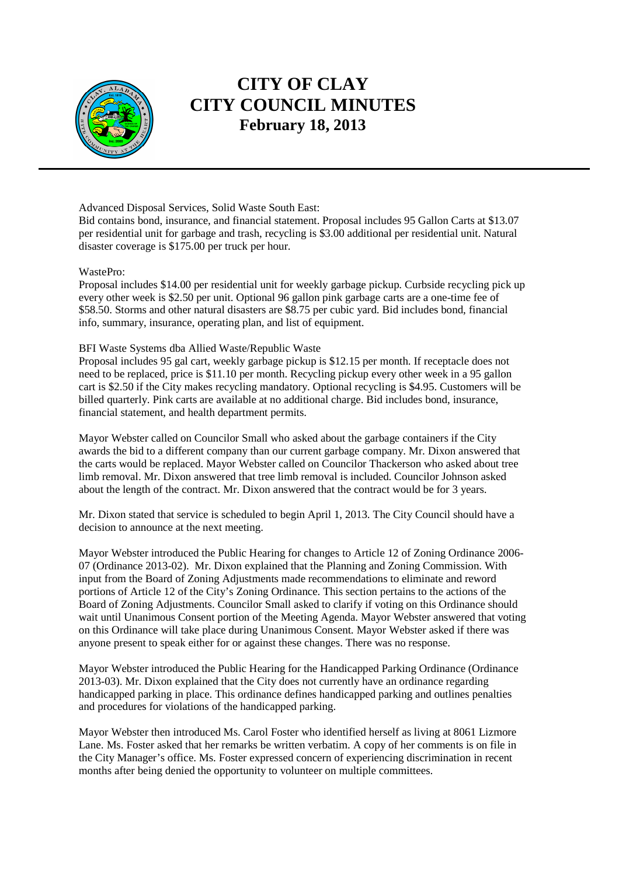

Advanced Disposal Services, Solid Waste South East:

Bid contains bond, insurance, and financial statement. Proposal includes 95 Gallon Carts at \$13.07 per residential unit for garbage and trash, recycling is \$3.00 additional per residential unit. Natural disaster coverage is \$175.00 per truck per hour.

#### WastePro:

Proposal includes \$14.00 per residential unit for weekly garbage pickup. Curbside recycling pick up every other week is \$2.50 per unit. Optional 96 gallon pink garbage carts are a one-time fee of \$58.50. Storms and other natural disasters are \$8.75 per cubic yard. Bid includes bond, financial info, summary, insurance, operating plan, and list of equipment.

#### BFI Waste Systems dba Allied Waste/Republic Waste

Proposal includes 95 gal cart, weekly garbage pickup is \$12.15 per month. If receptacle does not need to be replaced, price is \$11.10 per month. Recycling pickup every other week in a 95 gallon cart is \$2.50 if the City makes recycling mandatory. Optional recycling is \$4.95. Customers will be billed quarterly. Pink carts are available at no additional charge. Bid includes bond, insurance, financial statement, and health department permits.

Mayor Webster called on Councilor Small who asked about the garbage containers if the City awards the bid to a different company than our current garbage company. Mr. Dixon answered that the carts would be replaced. Mayor Webster called on Councilor Thackerson who asked about tree limb removal. Mr. Dixon answered that tree limb removal is included. Councilor Johnson asked about the length of the contract. Mr. Dixon answered that the contract would be for 3 years.

Mr. Dixon stated that service is scheduled to begin April 1, 2013. The City Council should have a decision to announce at the next meeting.

Mayor Webster introduced the Public Hearing for changes to Article 12 of Zoning Ordinance 2006- 07 (Ordinance 2013-02). Mr. Dixon explained that the Planning and Zoning Commission. With input from the Board of Zoning Adjustments made recommendations to eliminate and reword portions of Article 12 of the City's Zoning Ordinance. This section pertains to the actions of the Board of Zoning Adjustments. Councilor Small asked to clarify if voting on this Ordinance should wait until Unanimous Consent portion of the Meeting Agenda. Mayor Webster answered that voting on this Ordinance will take place during Unanimous Consent. Mayor Webster asked if there was anyone present to speak either for or against these changes. There was no response.

Mayor Webster introduced the Public Hearing for the Handicapped Parking Ordinance (Ordinance 2013-03). Mr. Dixon explained that the City does not currently have an ordinance regarding handicapped parking in place. This ordinance defines handicapped parking and outlines penalties and procedures for violations of the handicapped parking.

Mayor Webster then introduced Ms. Carol Foster who identified herself as living at 8061 Lizmore Lane. Ms. Foster asked that her remarks be written verbatim. A copy of her comments is on file in the City Manager's office. Ms. Foster expressed concern of experiencing discrimination in recent months after being denied the opportunity to volunteer on multiple committees.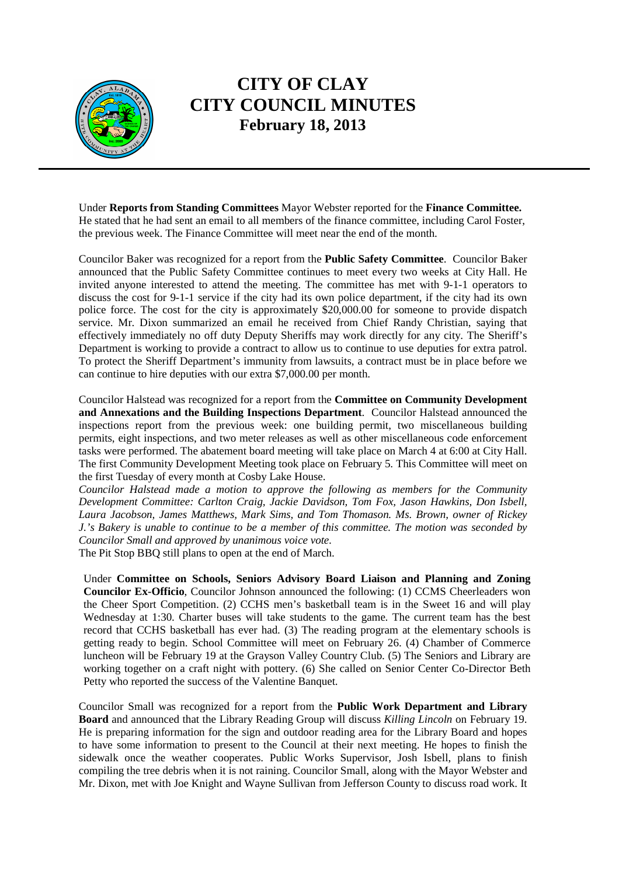

Under **Reports from Standing Committees** Mayor Webster reported for the **Finance Committee.**  He stated that he had sent an email to all members of the finance committee, including Carol Foster, the previous week. The Finance Committee will meet near the end of the month.

Councilor Baker was recognized for a report from the **Public Safety Committee**. Councilor Baker announced that the Public Safety Committee continues to meet every two weeks at City Hall. He invited anyone interested to attend the meeting. The committee has met with 9-1-1 operators to discuss the cost for 9-1-1 service if the city had its own police department, if the city had its own police force. The cost for the city is approximately \$20,000.00 for someone to provide dispatch service. Mr. Dixon summarized an email he received from Chief Randy Christian, saying that effectively immediately no off duty Deputy Sheriffs may work directly for any city. The Sheriff's Department is working to provide a contract to allow us to continue to use deputies for extra patrol. To protect the Sheriff Department's immunity from lawsuits, a contract must be in place before we can continue to hire deputies with our extra \$7,000.00 per month.

Councilor Halstead was recognized for a report from the **Committee on Community Development and Annexations and the Building Inspections Department**. Councilor Halstead announced the inspections report from the previous week: one building permit, two miscellaneous building permits, eight inspections, and two meter releases as well as other miscellaneous code enforcement tasks were performed. The abatement board meeting will take place on March 4 at 6:00 at City Hall. The first Community Development Meeting took place on February 5. This Committee will meet on the first Tuesday of every month at Cosby Lake House.

*Councilor Halstead made a motion to approve the following as members for the Community Development Committee: Carlton Craig, Jackie Davidson, Tom Fox, Jason Hawkins, Don Isbell, Laura Jacobson, James Matthews, Mark Sims, and Tom Thomason. Ms. Brown, owner of Rickey J.'s Bakery is unable to continue to be a member of this committee. The motion was seconded by Councilor Small and approved by unanimous voice vote.* 

The Pit Stop BBQ still plans to open at the end of March.

Under **Committee on Schools, Seniors Advisory Board Liaison and Planning and Zoning Councilor Ex-Officio**, Councilor Johnson announced the following: (1) CCMS Cheerleaders won the Cheer Sport Competition. (2) CCHS men's basketball team is in the Sweet 16 and will play Wednesday at 1:30. Charter buses will take students to the game. The current team has the best record that CCHS basketball has ever had. (3) The reading program at the elementary schools is getting ready to begin. School Committee will meet on February 26. (4) Chamber of Commerce luncheon will be February 19 at the Grayson Valley Country Club. (5) The Seniors and Library are working together on a craft night with pottery. (6) She called on Senior Center Co-Director Beth Petty who reported the success of the Valentine Banquet.

Councilor Small was recognized for a report from the **Public Work Department and Library Board** and announced that the Library Reading Group will discuss *Killing Lincoln* on February 19. He is preparing information for the sign and outdoor reading area for the Library Board and hopes to have some information to present to the Council at their next meeting. He hopes to finish the sidewalk once the weather cooperates. Public Works Supervisor, Josh Isbell, plans to finish compiling the tree debris when it is not raining. Councilor Small, along with the Mayor Webster and Mr. Dixon, met with Joe Knight and Wayne Sullivan from Jefferson County to discuss road work. It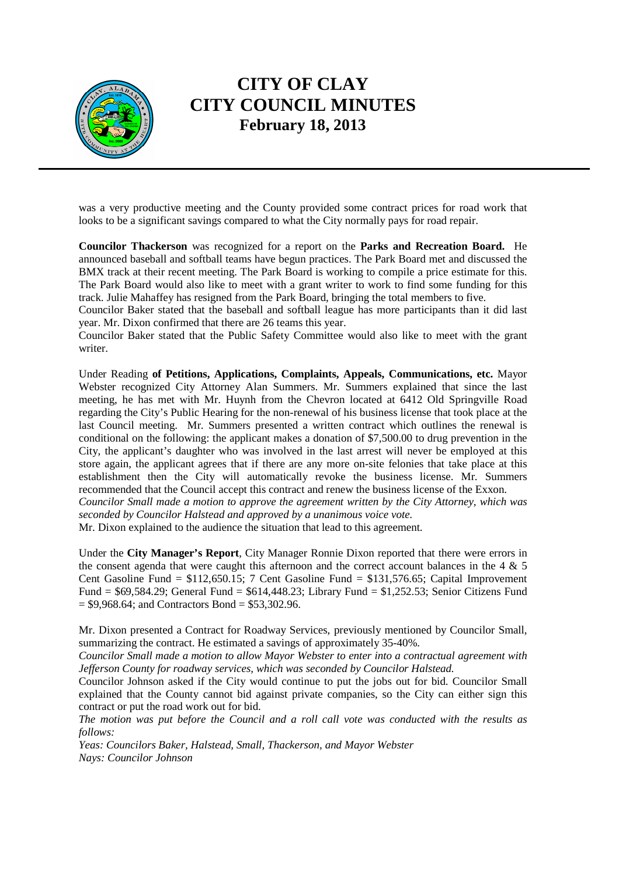

was a very productive meeting and the County provided some contract prices for road work that looks to be a significant savings compared to what the City normally pays for road repair.

**Councilor Thackerson** was recognized for a report on the **Parks and Recreation Board.** He announced baseball and softball teams have begun practices. The Park Board met and discussed the BMX track at their recent meeting. The Park Board is working to compile a price estimate for this. The Park Board would also like to meet with a grant writer to work to find some funding for this track. Julie Mahaffey has resigned from the Park Board, bringing the total members to five.

Councilor Baker stated that the baseball and softball league has more participants than it did last year. Mr. Dixon confirmed that there are 26 teams this year.

Councilor Baker stated that the Public Safety Committee would also like to meet with the grant writer.

Under Reading **of Petitions, Applications, Complaints, Appeals, Communications, etc.** Mayor Webster recognized City Attorney Alan Summers. Mr. Summers explained that since the last meeting, he has met with Mr. Huynh from the Chevron located at 6412 Old Springville Road regarding the City's Public Hearing for the non-renewal of his business license that took place at the last Council meeting. Mr. Summers presented a written contract which outlines the renewal is conditional on the following: the applicant makes a donation of \$7,500.00 to drug prevention in the City, the applicant's daughter who was involved in the last arrest will never be employed at this store again, the applicant agrees that if there are any more on-site felonies that take place at this establishment then the City will automatically revoke the business license. Mr. Summers recommended that the Council accept this contract and renew the business license of the Exxon.

*Councilor Small made a motion to approve the agreement written by the City Attorney, which was seconded by Councilor Halstead and approved by a unanimous voice vote.* 

Mr. Dixon explained to the audience the situation that lead to this agreement.

Under the **City Manager's Report**, City Manager Ronnie Dixon reported that there were errors in the consent agenda that were caught this afternoon and the correct account balances in the  $4 \& 5$ Cent Gasoline Fund = \$112,650.15; 7 Cent Gasoline Fund = \$131,576.65; Capital Improvement Fund = \$69,584.29; General Fund = \$614,448.23; Library Fund = \$1,252.53; Senior Citizens Fund  $= $9,968.64$ ; and Contractors Bond  $= $53,302.96$ .

Mr. Dixon presented a Contract for Roadway Services, previously mentioned by Councilor Small, summarizing the contract. He estimated a savings of approximately 35-40%.

*Councilor Small made a motion to allow Mayor Webster to enter into a contractual agreement with Jefferson County for roadway services, which was seconded by Councilor Halstead.* 

Councilor Johnson asked if the City would continue to put the jobs out for bid. Councilor Small explained that the County cannot bid against private companies, so the City can either sign this contract or put the road work out for bid.

*The motion was put before the Council and a roll call vote was conducted with the results as follows:* 

*Yeas: Councilors Baker, Halstead, Small, Thackerson, and Mayor Webster Nays: Councilor Johnson*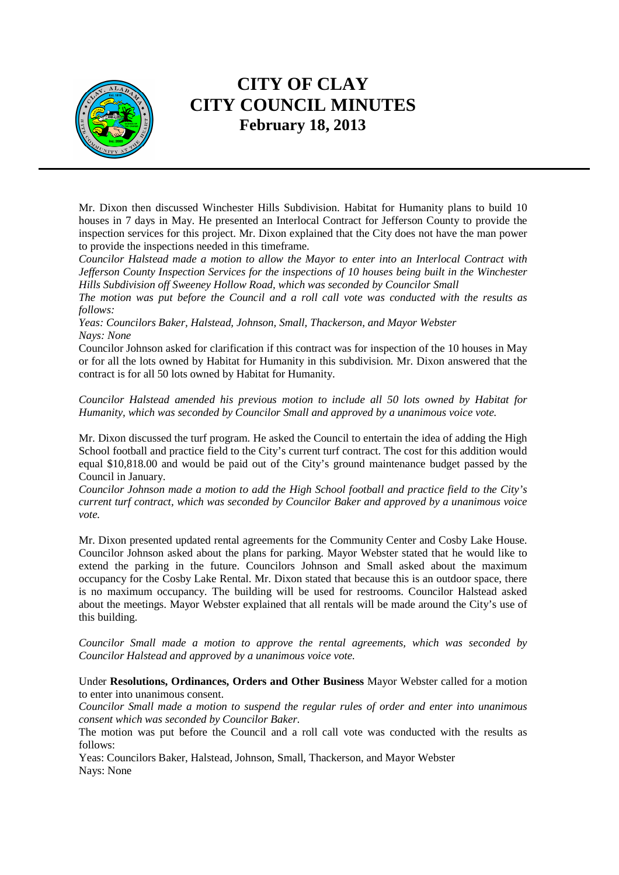

Mr. Dixon then discussed Winchester Hills Subdivision. Habitat for Humanity plans to build 10 houses in 7 days in May. He presented an Interlocal Contract for Jefferson County to provide the inspection services for this project. Mr. Dixon explained that the City does not have the man power to provide the inspections needed in this timeframe.

*Councilor Halstead made a motion to allow the Mayor to enter into an Interlocal Contract with Jefferson County Inspection Services for the inspections of 10 houses being built in the Winchester Hills Subdivision off Sweeney Hollow Road, which was seconded by Councilor Small* 

*The motion was put before the Council and a roll call vote was conducted with the results as follows:* 

*Yeas: Councilors Baker, Halstead, Johnson, Small, Thackerson, and Mayor Webster Nays: None*

Councilor Johnson asked for clarification if this contract was for inspection of the 10 houses in May or for all the lots owned by Habitat for Humanity in this subdivision. Mr. Dixon answered that the contract is for all 50 lots owned by Habitat for Humanity.

*Councilor Halstead amended his previous motion to include all 50 lots owned by Habitat for Humanity, which was seconded by Councilor Small and approved by a unanimous voice vote.* 

Mr. Dixon discussed the turf program. He asked the Council to entertain the idea of adding the High School football and practice field to the City's current turf contract. The cost for this addition would equal \$10,818.00 and would be paid out of the City's ground maintenance budget passed by the Council in January.

*Councilor Johnson made a motion to add the High School football and practice field to the City's current turf contract, which was seconded by Councilor Baker and approved by a unanimous voice vote.* 

Mr. Dixon presented updated rental agreements for the Community Center and Cosby Lake House. Councilor Johnson asked about the plans for parking. Mayor Webster stated that he would like to extend the parking in the future. Councilors Johnson and Small asked about the maximum occupancy for the Cosby Lake Rental. Mr. Dixon stated that because this is an outdoor space, there is no maximum occupancy. The building will be used for restrooms. Councilor Halstead asked about the meetings. Mayor Webster explained that all rentals will be made around the City's use of this building.

*Councilor Small made a motion to approve the rental agreements, which was seconded by Councilor Halstead and approved by a unanimous voice vote.* 

Under **Resolutions, Ordinances, Orders and Other Business** Mayor Webster called for a motion to enter into unanimous consent.

*Councilor Small made a motion to suspend the regular rules of order and enter into unanimous consent which was seconded by Councilor Baker.* 

The motion was put before the Council and a roll call vote was conducted with the results as follows:

Yeas: Councilors Baker, Halstead, Johnson, Small, Thackerson, and Mayor Webster Nays: None